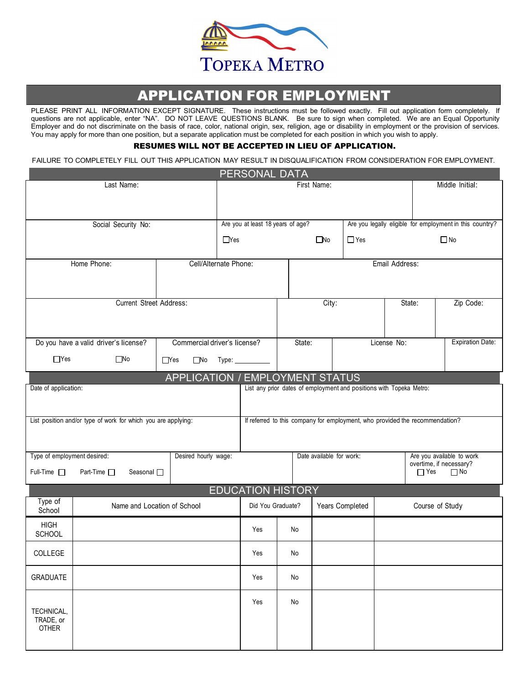

## APPLICATION FOR EMPLOYMENT

PLEASE PRINT ALL INFORMATION EXCEPT SIGNATURE. These instructions must be followed exactly. Fill out application form completely. If questions are not applicable, enter "NA". DO NOT LEAVE QUESTIONS BLANK. Be sure to sign when completed. We are an Equal Opportunity Employer and do not discriminate on the basis of race, color, national origin, sex, religion, age or disability in employment or the provision of services. You may apply for more than one position, but a separate application must be completed for each position in which you wish to apply.

## RESUMES WILL NOT BE ACCEPTED IN LIEU OF APPLICATION.

FAILURE TO COMPLETELY FILL OUT THIS APPLICATION MAY RESULT IN DISQUALIFICATION FROM CONSIDERATION FOR EMPLOYMENT.

|                                                            |                                                               |            |                                                                              |                 | PERSONAL DATA                           |        |              |                                                                     |                         |                                                      |                                                          |  |
|------------------------------------------------------------|---------------------------------------------------------------|------------|------------------------------------------------------------------------------|-----------------|-----------------------------------------|--------|--------------|---------------------------------------------------------------------|-------------------------|------------------------------------------------------|----------------------------------------------------------|--|
| Last Name:                                                 |                                                               |            |                                                                              |                 | First Name:<br>Middle Initial:          |        |              |                                                                     |                         |                                                      |                                                          |  |
|                                                            |                                                               |            |                                                                              |                 |                                         |        |              |                                                                     |                         |                                                      |                                                          |  |
|                                                            | Social Security No:                                           |            |                                                                              |                 | Are you at least 18 years of age?       |        |              |                                                                     |                         |                                                      |                                                          |  |
|                                                            |                                                               |            |                                                                              |                 |                                         |        |              |                                                                     |                         |                                                      | Are you legally eligible for employment in this country? |  |
|                                                            |                                                               |            |                                                                              | $\Box$ Yes      |                                         |        | $\square$ No | $\Box$ Yes                                                          |                         |                                                      | $\Box$ No                                                |  |
| Home Phone:                                                |                                                               |            |                                                                              |                 | Cell/Alternate Phone:<br>Email Address: |        |              |                                                                     |                         |                                                      |                                                          |  |
|                                                            |                                                               |            |                                                                              |                 |                                         |        |              |                                                                     |                         |                                                      |                                                          |  |
|                                                            |                                                               |            |                                                                              |                 |                                         |        |              |                                                                     |                         |                                                      |                                                          |  |
|                                                            | <b>Current Street Address:</b>                                |            |                                                                              |                 | City:                                   |        |              |                                                                     |                         | State:                                               | Zip Code:                                                |  |
|                                                            |                                                               |            |                                                                              |                 |                                         |        |              |                                                                     |                         |                                                      |                                                          |  |
|                                                            |                                                               |            | Commercial driver's license?                                                 |                 |                                         | State: |              |                                                                     | License No:             |                                                      | <b>Expiration Date:</b>                                  |  |
|                                                            | Do you have a valid driver's license?                         |            |                                                                              |                 |                                         |        |              |                                                                     |                         |                                                      |                                                          |  |
| $\Box$ Yes                                                 | $\square$ No                                                  | $\Box$ Yes | $\square$ No                                                                 | Туре: _________ |                                         |        |              |                                                                     |                         |                                                      |                                                          |  |
|                                                            |                                                               |            |                                                                              |                 | <b>APPLICATION / EMPLOYMENT STATUS</b>  |        |              |                                                                     |                         |                                                      |                                                          |  |
| Date of application:                                       |                                                               |            |                                                                              |                 |                                         |        |              | List any prior dates of employment and positions with Topeka Metro: |                         |                                                      |                                                          |  |
|                                                            |                                                               |            |                                                                              |                 |                                         |        |              |                                                                     |                         |                                                      |                                                          |  |
|                                                            | List position and/or type of work for which you are applying: |            | If referred to this company for employment, who provided the recommendation? |                 |                                         |        |              |                                                                     |                         |                                                      |                                                          |  |
|                                                            |                                                               |            |                                                                              |                 |                                         |        |              |                                                                     |                         |                                                      |                                                          |  |
| Type of employment desired:<br>Desired hourly wage:        |                                                               |            |                                                                              |                 | Date available for work:                |        |              |                                                                     |                         | Are you available to work<br>overtime, if necessary? |                                                          |  |
| $Full-Time \Box$<br>Part-Time □<br>Seasonal <sub>[1]</sub> |                                                               |            |                                                                              |                 |                                         |        |              |                                                                     | $\Box$ Yes<br>$\Box$ No |                                                      |                                                          |  |
|                                                            |                                                               |            |                                                                              |                 | <b>EDUCATION HISTORY</b>                |        |              |                                                                     |                         |                                                      |                                                          |  |
| Type of<br>School                                          | Name and Location of School                                   |            |                                                                              |                 | Did You Graduate?                       |        |              | Years Completed                                                     |                         | Course of Study                                      |                                                          |  |
| <b>HIGH</b>                                                |                                                               |            |                                                                              |                 | Yes                                     | No     |              |                                                                     |                         |                                                      |                                                          |  |
| <b>SCHOOL</b>                                              |                                                               |            |                                                                              |                 |                                         |        |              |                                                                     |                         |                                                      |                                                          |  |
| COLLEGE                                                    |                                                               |            |                                                                              |                 | Yes                                     | No     |              |                                                                     |                         |                                                      |                                                          |  |
| <b>GRADUATE</b>                                            |                                                               |            |                                                                              |                 | Yes                                     | No     |              |                                                                     |                         |                                                      |                                                          |  |
|                                                            |                                                               |            |                                                                              |                 | Yes                                     | No     |              |                                                                     |                         |                                                      |                                                          |  |
| TECHNICAL,<br>TRADE, or                                    |                                                               |            |                                                                              |                 |                                         |        |              |                                                                     |                         |                                                      |                                                          |  |
| <b>OTHER</b>                                               |                                                               |            |                                                                              |                 |                                         |        |              |                                                                     |                         |                                                      |                                                          |  |
|                                                            |                                                               |            |                                                                              |                 |                                         |        |              |                                                                     |                         |                                                      |                                                          |  |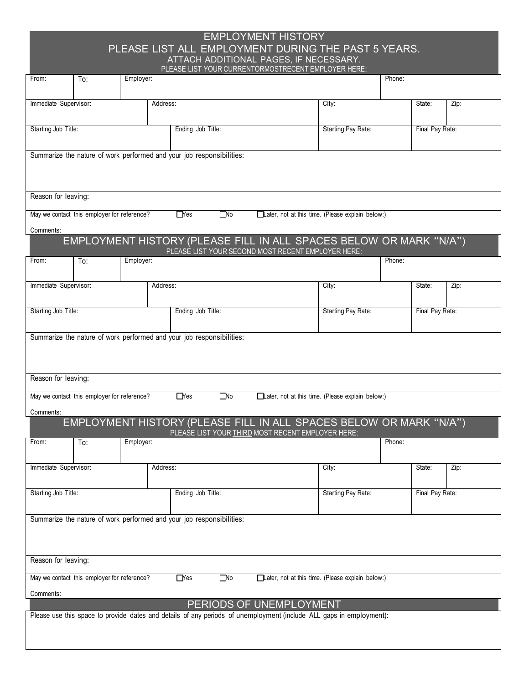## EMPLOYMENT HISTORY PLEASE LIST ALL EMPLOYMENT DURING THE PAST 5 YEARS. ATTACH ADDITIONAL PAGES, IF NECESSARY.

|                       |                                                                       |           |          |                   |              | PLEASE LIST YOUR CURRENTORMOSTRECENT EMPLOYER HERE:                                                                     |                                                  |        |                 |      |  |
|-----------------------|-----------------------------------------------------------------------|-----------|----------|-------------------|--------------|-------------------------------------------------------------------------------------------------------------------------|--------------------------------------------------|--------|-----------------|------|--|
| From:                 | To:                                                                   | Employer: |          | Phone:            |              |                                                                                                                         |                                                  |        |                 |      |  |
|                       |                                                                       |           |          |                   |              |                                                                                                                         |                                                  |        |                 |      |  |
| Immediate Supervisor: |                                                                       |           | Address: |                   |              |                                                                                                                         | City:                                            |        | State:          | Zip: |  |
|                       |                                                                       |           |          |                   |              |                                                                                                                         |                                                  |        |                 |      |  |
| Starting Job Title:   |                                                                       |           |          | Ending Job Title: |              |                                                                                                                         | Starting Pay Rate:                               |        | Final Pay Rate: |      |  |
|                       |                                                                       |           |          |                   |              |                                                                                                                         |                                                  |        |                 |      |  |
|                       | Summarize the nature of work performed and your job responsibilities: |           |          |                   |              |                                                                                                                         |                                                  |        |                 |      |  |
|                       |                                                                       |           |          |                   |              |                                                                                                                         |                                                  |        |                 |      |  |
|                       |                                                                       |           |          |                   |              |                                                                                                                         |                                                  |        |                 |      |  |
|                       |                                                                       |           |          |                   |              |                                                                                                                         |                                                  |        |                 |      |  |
| Reason for leaving:   |                                                                       |           |          |                   |              |                                                                                                                         |                                                  |        |                 |      |  |
|                       | May we contact this employer for reference?                           |           |          | $\Box$ Yes        | $\square$ No |                                                                                                                         | Later, not at this time. (Please explain below:) |        |                 |      |  |
| Comments:             |                                                                       |           |          |                   |              |                                                                                                                         |                                                  |        |                 |      |  |
|                       |                                                                       |           |          |                   |              | EMPLOYMENT HISTORY (PLEASE FILL IN ALL SPACES BELOW OR MARK "N/A")                                                      |                                                  |        |                 |      |  |
| From:                 | To:                                                                   | Employer: |          |                   |              | PLEASE LIST YOUR SECOND MOST RECENT EMPLOYER HERE:                                                                      |                                                  | Phone: |                 |      |  |
|                       |                                                                       |           |          |                   |              |                                                                                                                         |                                                  |        |                 |      |  |
| Immediate Supervisor: |                                                                       |           | Address: |                   |              |                                                                                                                         | City:                                            |        | State:          | Zip: |  |
|                       |                                                                       |           |          |                   |              |                                                                                                                         |                                                  |        |                 |      |  |
|                       |                                                                       |           |          |                   |              |                                                                                                                         |                                                  |        |                 |      |  |
| Starting Job Title:   |                                                                       |           |          | Ending Job Title: |              |                                                                                                                         | Starting Pay Rate:                               |        | Final Pay Rate: |      |  |
|                       |                                                                       |           |          |                   |              |                                                                                                                         |                                                  |        |                 |      |  |
|                       | Summarize the nature of work performed and your job responsibilities: |           |          |                   |              |                                                                                                                         |                                                  |        |                 |      |  |
|                       |                                                                       |           |          |                   |              |                                                                                                                         |                                                  |        |                 |      |  |
|                       |                                                                       |           |          |                   |              |                                                                                                                         |                                                  |        |                 |      |  |
| Reason for leaving:   |                                                                       |           |          |                   |              |                                                                                                                         |                                                  |        |                 |      |  |
|                       |                                                                       |           |          |                   |              |                                                                                                                         |                                                  |        |                 |      |  |
|                       | May we contact this employer for reference?                           |           |          | $\Box$ Yes        | $\square$ No |                                                                                                                         | Later, not at this time. (Please explain below:) |        |                 |      |  |
| Comments:             |                                                                       |           |          |                   |              |                                                                                                                         |                                                  |        |                 |      |  |
|                       |                                                                       |           |          |                   |              | EMPLOYMENT HISTORY (PLEASE FILL IN ALL SPACES BELOW OR MARK "N/A")<br>PLEASE LIST YOUR THIRD MOST RECENT EMPLOYER HERE: |                                                  |        |                 |      |  |
| From:                 | To:                                                                   | Employer: |          |                   |              |                                                                                                                         |                                                  | Phone: |                 |      |  |
|                       |                                                                       |           |          |                   |              |                                                                                                                         |                                                  |        |                 |      |  |
| Immediate Supervisor: |                                                                       |           | Address: |                   |              |                                                                                                                         | City:                                            |        | State:          | Zip: |  |
|                       |                                                                       |           |          |                   |              |                                                                                                                         |                                                  |        |                 |      |  |
| Starting Job Title:   |                                                                       |           |          | Ending Job Title: |              |                                                                                                                         | Starting Pay Rate:                               |        | Final Pay Rate: |      |  |
|                       |                                                                       |           |          |                   |              |                                                                                                                         |                                                  |        |                 |      |  |
|                       |                                                                       |           |          |                   |              |                                                                                                                         |                                                  |        |                 |      |  |
|                       | Summarize the nature of work performed and your job responsibilities: |           |          |                   |              |                                                                                                                         |                                                  |        |                 |      |  |
|                       |                                                                       |           |          |                   |              |                                                                                                                         |                                                  |        |                 |      |  |
|                       |                                                                       |           |          |                   |              |                                                                                                                         |                                                  |        |                 |      |  |
| Reason for leaving:   |                                                                       |           |          |                   |              |                                                                                                                         |                                                  |        |                 |      |  |
|                       |                                                                       |           |          |                   |              |                                                                                                                         |                                                  |        |                 |      |  |
|                       | May we contact this employer for reference?                           |           |          | $\Box$ Yes        | $\Box$ lo    |                                                                                                                         | Later, not at this time. (Please explain below:) |        |                 |      |  |
| Comments:             |                                                                       |           |          |                   |              |                                                                                                                         |                                                  |        |                 |      |  |
|                       |                                                                       |           |          |                   |              | PERIODS OF UNEMPLOYMENT                                                                                                 |                                                  |        |                 |      |  |
|                       |                                                                       |           |          |                   |              | Please use this space to provide dates and details of any periods of unemployment (include ALL gaps in employment):     |                                                  |        |                 |      |  |
|                       |                                                                       |           |          |                   |              |                                                                                                                         |                                                  |        |                 |      |  |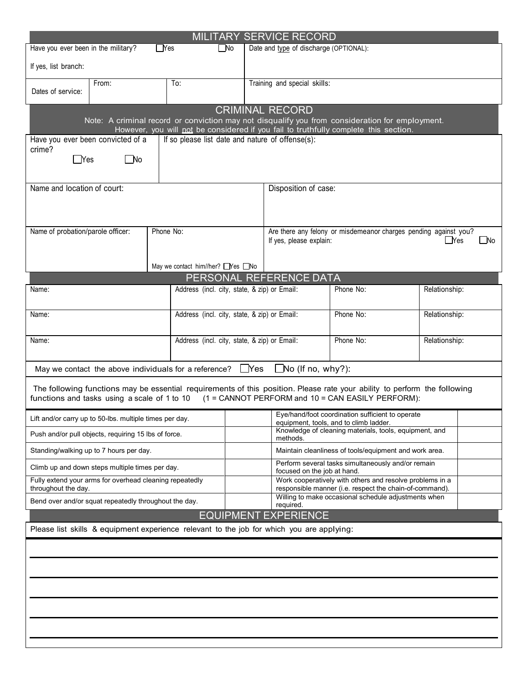| <b>MILITARY SERVICE RECORD</b>                                                                                                                                                                                              |       |                                     |                                                       |            |                                                                                                                     |                            |  |  |  |  |
|-----------------------------------------------------------------------------------------------------------------------------------------------------------------------------------------------------------------------------|-------|-------------------------------------|-------------------------------------------------------|------------|---------------------------------------------------------------------------------------------------------------------|----------------------------|--|--|--|--|
| Have you ever been in the military?<br>$\Box$ Yes<br>$\square$ No                                                                                                                                                           |       |                                     |                                                       |            | Date and type of discharge (OPTIONAL):                                                                              |                            |  |  |  |  |
| If yes, list branch:                                                                                                                                                                                                        |       |                                     |                                                       |            |                                                                                                                     |                            |  |  |  |  |
| Dates of service:                                                                                                                                                                                                           | From: | To:<br>Training and special skills: |                                                       |            |                                                                                                                     |                            |  |  |  |  |
| <b>CRIMINAL RECORD</b><br>Note: A criminal record or conviction may not disqualify you from consideration for employment.<br>However, you will not be considered if you fail to truthfully complete this section.           |       |                                     |                                                       |            |                                                                                                                     |                            |  |  |  |  |
| If so please list date and nature of offense(s):<br>Have you ever been convicted of a<br>crime?<br>⊟No<br>$\sqrt{\ }$ Yes                                                                                                   |       |                                     |                                                       |            |                                                                                                                     |                            |  |  |  |  |
| Name and location of court:                                                                                                                                                                                                 |       |                                     |                                                       |            | Disposition of case:                                                                                                |                            |  |  |  |  |
| Name of probation/parole officer:                                                                                                                                                                                           |       | Phone No:                           |                                                       |            | Are there any felony or misdemeanor charges pending against you?<br>∐No<br>If yes, please explain:<br>__Yes         |                            |  |  |  |  |
|                                                                                                                                                                                                                             |       |                                     | May we contact him//her? Nes No                       |            |                                                                                                                     |                            |  |  |  |  |
| Name:                                                                                                                                                                                                                       |       |                                     | Address (incl. city, state, & zip) or Email:          |            | PERSONAL REFERENCE DATA                                                                                             | Phone No:<br>Relationship: |  |  |  |  |
| Name:                                                                                                                                                                                                                       |       |                                     | Address (incl. city, state, & zip) or Email:          |            |                                                                                                                     | Phone No:<br>Relationship: |  |  |  |  |
| Name:                                                                                                                                                                                                                       |       |                                     | Address (incl. city, state, & zip) or Email:          |            | Phone No:<br>Relationship:                                                                                          |                            |  |  |  |  |
|                                                                                                                                                                                                                             |       |                                     | May we contact the above individuals for a reference? | $\Box$ Yes | $\Box$ No (If no, why?):                                                                                            |                            |  |  |  |  |
| The following functions may be essential requirements of this position. Please rate your ability to perform the following<br>functions and tasks using a scale of 1 to 10 (1 = CANNOT PERFORM and 10 = CAN EASILY PERFORM): |       |                                     |                                                       |            |                                                                                                                     |                            |  |  |  |  |
| Lift and/or carry up to 50-lbs. multiple times per day.                                                                                                                                                                     |       |                                     |                                                       |            | Eye/hand/foot coordination sufficient to operate<br>equipment, tools, and to climb ladder.                          |                            |  |  |  |  |
| Push and/or pull objects, requiring 15 lbs of force.                                                                                                                                                                        |       |                                     |                                                       |            | Knowledge of cleaning materials, tools, equipment, and<br>methods.                                                  |                            |  |  |  |  |
| Standing/walking up to 7 hours per day.                                                                                                                                                                                     |       |                                     |                                                       |            | Maintain cleanliness of tools/equipment and work area.                                                              |                            |  |  |  |  |
| Climb up and down steps multiple times per day.                                                                                                                                                                             |       |                                     |                                                       |            | Perform several tasks simultaneously and/or remain<br>focused on the job at hand.                                   |                            |  |  |  |  |
| Fully extend your arms for overhead cleaning repeatedly<br>throughout the day.                                                                                                                                              |       |                                     |                                                       |            | Work cooperatively with others and resolve problems in a<br>responsible manner (i.e. respect the chain-of-command). |                            |  |  |  |  |
| Willing to make occasional schedule adjustments when<br>Bend over and/or squat repeatedly throughout the day.<br>required.                                                                                                  |       |                                     |                                                       |            |                                                                                                                     |                            |  |  |  |  |
| <b>EQUIPMENT EXPERIENCE</b>                                                                                                                                                                                                 |       |                                     |                                                       |            |                                                                                                                     |                            |  |  |  |  |
| Please list skills & equipment experience relevant to the job for which you are applying:                                                                                                                                   |       |                                     |                                                       |            |                                                                                                                     |                            |  |  |  |  |
|                                                                                                                                                                                                                             |       |                                     |                                                       |            |                                                                                                                     |                            |  |  |  |  |
|                                                                                                                                                                                                                             |       |                                     |                                                       |            |                                                                                                                     |                            |  |  |  |  |
|                                                                                                                                                                                                                             |       |                                     |                                                       |            |                                                                                                                     |                            |  |  |  |  |
|                                                                                                                                                                                                                             |       |                                     |                                                       |            |                                                                                                                     |                            |  |  |  |  |
|                                                                                                                                                                                                                             |       |                                     |                                                       |            |                                                                                                                     |                            |  |  |  |  |
|                                                                                                                                                                                                                             |       |                                     |                                                       |            |                                                                                                                     |                            |  |  |  |  |